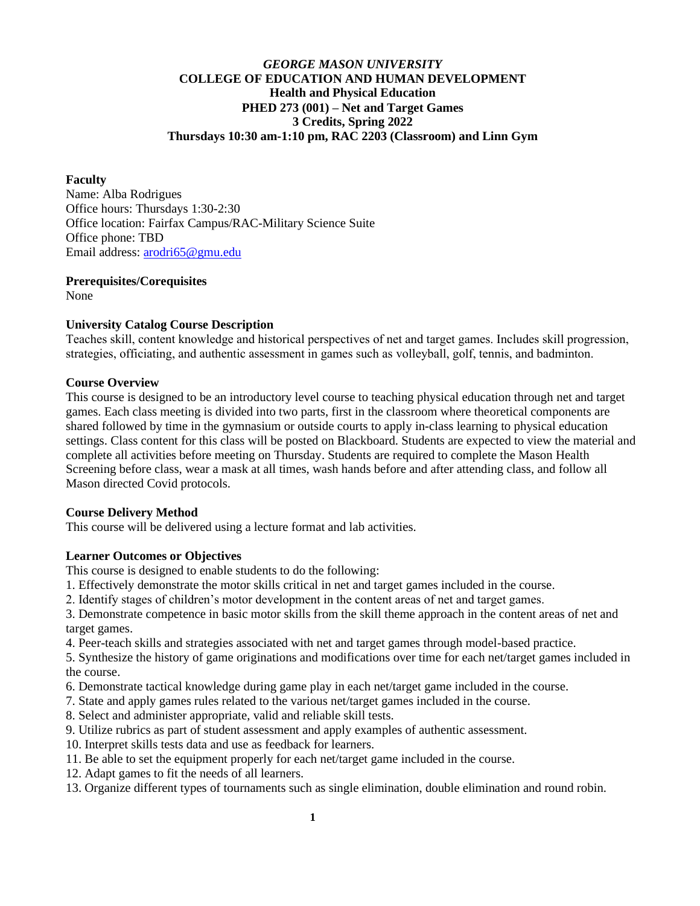## *GEORGE MASON UNIVERSITY* **COLLEGE OF EDUCATION AND HUMAN DEVELOPMENT Health and Physical Education PHED 273 (001) – Net and Target Games 3 Credits, Spring 2022 Thursdays 10:30 am-1:10 pm, RAC 2203 (Classroom) and Linn Gym**

#### **Faculty**

Name: Alba Rodrigues Office hours: Thursdays 1:30-2:30 Office location: Fairfax Campus/RAC-Military Science Suite Office phone: TBD Email address: [arodri65@gmu.edu](mailto:arodri65@gmu.edu)

#### **Prerequisites/Corequisites**

None

## **University Catalog Course Description**

Teaches skill, content knowledge and historical perspectives of net and target games. Includes skill progression, strategies, officiating, and authentic assessment in games such as volleyball, golf, tennis, and badminton.

#### **Course Overview**

This course is designed to be an introductory level course to teaching physical education through net and target games. Each class meeting is divided into two parts, first in the classroom where theoretical components are shared followed by time in the gymnasium or outside courts to apply in-class learning to physical education settings. Class content for this class will be posted on Blackboard. Students are expected to view the material and complete all activities before meeting on Thursday. Students are required to complete the Mason Health Screening before class, wear a mask at all times, wash hands before and after attending class, and follow all Mason directed Covid protocols.

## **Course Delivery Method**

This course will be delivered using a lecture format and lab activities.

## **Learner Outcomes or Objectives**

This course is designed to enable students to do the following:

- 1. Effectively demonstrate the motor skills critical in net and target games included in the course.
- 2. Identify stages of children's motor development in the content areas of net and target games.

3. Demonstrate competence in basic motor skills from the skill theme approach in the content areas of net and target games.

4. Peer-teach skills and strategies associated with net and target games through model-based practice.

5. Synthesize the history of game originations and modifications over time for each net/target games included in the course.

- 6. Demonstrate tactical knowledge during game play in each net/target game included in the course.
- 7. State and apply games rules related to the various net/target games included in the course.
- 8. Select and administer appropriate, valid and reliable skill tests.
- 9. Utilize rubrics as part of student assessment and apply examples of authentic assessment.
- 10. Interpret skills tests data and use as feedback for learners.
- 11. Be able to set the equipment properly for each net/target game included in the course.
- 12. Adapt games to fit the needs of all learners.
- 13. Organize different types of tournaments such as single elimination, double elimination and round robin.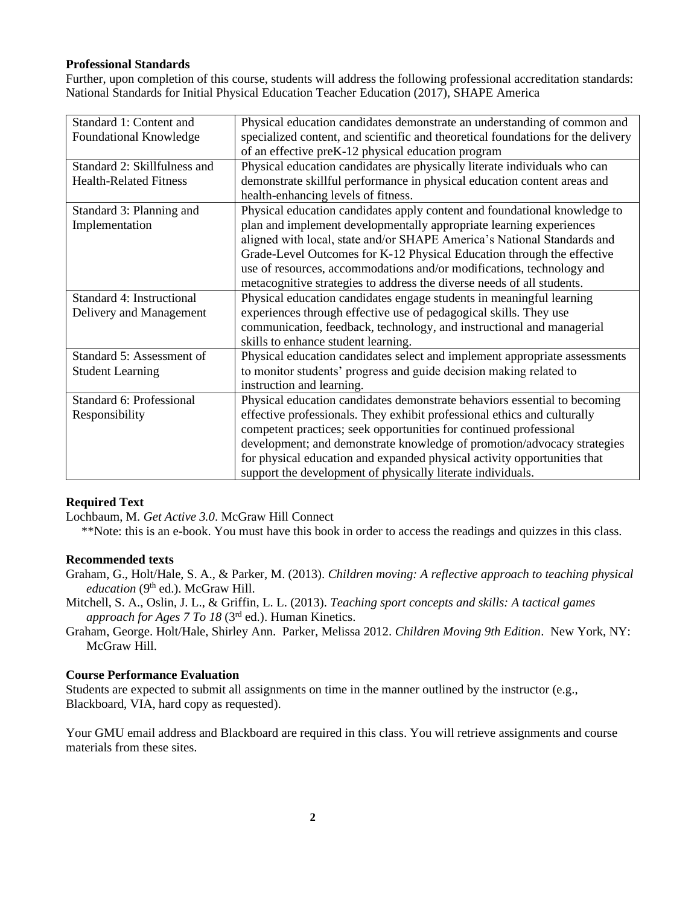#### **Professional Standards**

Further, upon completion of this course, students will address the following professional accreditation standards: National Standards for Initial Physical Education Teacher Education (2017), SHAPE America

| Standard 1: Content and       | Physical education candidates demonstrate an understanding of common and         |  |
|-------------------------------|----------------------------------------------------------------------------------|--|
| Foundational Knowledge        | specialized content, and scientific and theoretical foundations for the delivery |  |
|                               | of an effective preK-12 physical education program                               |  |
| Standard 2: Skillfulness and  | Physical education candidates are physically literate individuals who can        |  |
| <b>Health-Related Fitness</b> | demonstrate skillful performance in physical education content areas and         |  |
|                               | health-enhancing levels of fitness.                                              |  |
| Standard 3: Planning and      | Physical education candidates apply content and foundational knowledge to        |  |
| Implementation                | plan and implement developmentally appropriate learning experiences              |  |
|                               | aligned with local, state and/or SHAPE America's National Standards and          |  |
|                               | Grade-Level Outcomes for K-12 Physical Education through the effective           |  |
|                               | use of resources, accommodations and/or modifications, technology and            |  |
|                               | metacognitive strategies to address the diverse needs of all students.           |  |
| Standard 4: Instructional     | Physical education candidates engage students in meaningful learning             |  |
| Delivery and Management       | experiences through effective use of pedagogical skills. They use                |  |
|                               | communication, feedback, technology, and instructional and managerial            |  |
|                               | skills to enhance student learning.                                              |  |
| Standard 5: Assessment of     | Physical education candidates select and implement appropriate assessments       |  |
| <b>Student Learning</b>       | to monitor students' progress and guide decision making related to               |  |
|                               | instruction and learning.                                                        |  |
| Standard 6: Professional      | Physical education candidates demonstrate behaviors essential to becoming        |  |
| Responsibility                | effective professionals. They exhibit professional ethics and culturally         |  |
|                               | competent practices; seek opportunities for continued professional               |  |
|                               | development; and demonstrate knowledge of promotion/advocacy strategies          |  |
|                               | for physical education and expanded physical activity opportunities that         |  |
|                               | support the development of physically literate individuals.                      |  |

## **Required Text**

Lochbaum, M. *Get Active 3.0*. McGraw Hill Connect

\*\*Note: this is an e-book. You must have this book in order to access the readings and quizzes in this class.

#### **Recommended texts**

- Graham, G., Holt/Hale, S. A., & Parker, M. (2013). *Children moving: A reflective approach to teaching physical education* (9<sup>th</sup> ed.). McGraw Hill.
- Mitchell, S. A., Oslin, J. L., & Griffin, L. L. (2013). *Teaching sport concepts and skills: A tactical games approach for Ages 7 To 18* (3rd ed.). Human Kinetics.
- Graham, George. Holt/Hale, Shirley Ann. Parker, Melissa 2012. *Children Moving 9th Edition*. New York, NY: McGraw Hill.

#### **Course Performance Evaluation**

Students are expected to submit all assignments on time in the manner outlined by the instructor (e.g., Blackboard, VIA, hard copy as requested).

Your GMU email address and Blackboard are required in this class. You will retrieve assignments and course materials from these sites.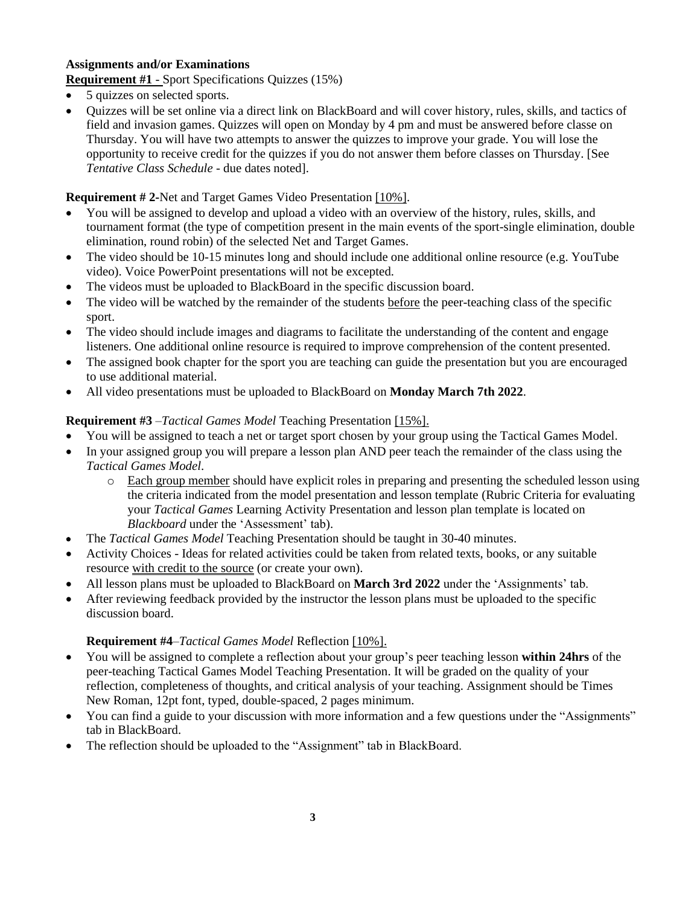# **Assignments and/or Examinations**

**Requirement #1** - Sport Specifications Quizzes (15%)

- 5 quizzes on selected sports.
- Quizzes will be set online via a direct link on BlackBoard and will cover history, rules, skills, and tactics of field and invasion games. Quizzes will open on Monday by 4 pm and must be answered before classe on Thursday. You will have two attempts to answer the quizzes to improve your grade. You will lose the opportunity to receive credit for the quizzes if you do not answer them before classes on Thursday. [See *Tentative Class Schedule* - due dates noted].

# **Requirement # 2-**Net and Target Games Video Presentation [10%].

- You will be assigned to develop and upload a video with an overview of the history, rules, skills, and tournament format (the type of competition present in the main events of the sport-single elimination, double elimination, round robin) of the selected Net and Target Games.
- The video should be 10-15 minutes long and should include one additional online resource (e.g. YouTube video). Voice PowerPoint presentations will not be excepted.
- The videos must be uploaded to BlackBoard in the specific discussion board.
- The video will be watched by the remainder of the students before the peer-teaching class of the specific sport.
- The video should include images and diagrams to facilitate the understanding of the content and engage listeners. One additional online resource is required to improve comprehension of the content presented.
- The assigned book chapter for the sport you are teaching can guide the presentation but you are encouraged to use additional material.
- All video presentations must be uploaded to BlackBoard on **Monday March 7th 2022**.

# **Requirement #3** –*Tactical Games Model* Teaching Presentation [15%].

- You will be assigned to teach a net or target sport chosen by your group using the Tactical Games Model.
- In your assigned group you will prepare a lesson plan AND peer teach the remainder of the class using the *Tactical Games Model*.
	- o Each group member should have explicit roles in preparing and presenting the scheduled lesson using the criteria indicated from the model presentation and lesson template (Rubric Criteria for evaluating your *Tactical Games* Learning Activity Presentation and lesson plan template is located on *Blackboard* under the 'Assessment' tab).
- The *Tactical Games Model* Teaching Presentation should be taught in 30-40 minutes.
- Activity Choices Ideas for related activities could be taken from related texts, books, or any suitable resource with credit to the source (or create your own).
- All lesson plans must be uploaded to BlackBoard on **March 3rd 2022** under the 'Assignments' tab.
- After reviewing feedback provided by the instructor the lesson plans must be uploaded to the specific discussion board.

# **Requirement #4**–*Tactical Games Model* Reflection [10%].

- You will be assigned to complete a reflection about your group's peer teaching lesson **within 24hrs** of the peer-teaching Tactical Games Model Teaching Presentation. It will be graded on the quality of your reflection, completeness of thoughts, and critical analysis of your teaching. Assignment should be Times New Roman, 12pt font, typed, double-spaced, 2 pages minimum.
- You can find a guide to your discussion with more information and a few questions under the "Assignments" tab in BlackBoard.
- The reflection should be uploaded to the "Assignment" tab in BlackBoard.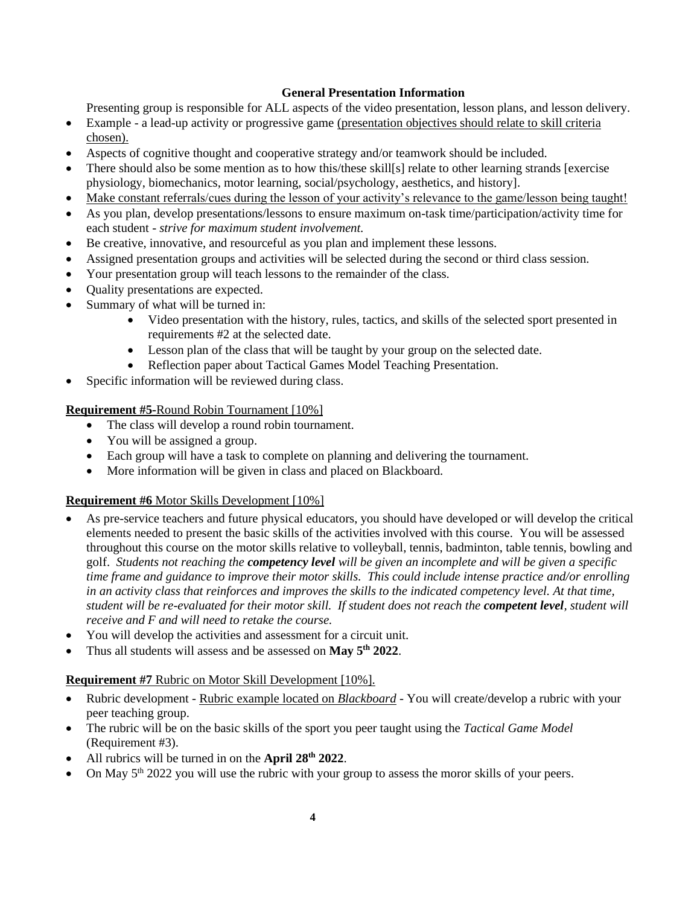# **General Presentation Information**

Presenting group is responsible for ALL aspects of the video presentation, lesson plans, and lesson delivery.

- Example a lead-up activity or progressive game (presentation objectives should relate to skill criteria chosen).
- Aspects of cognitive thought and cooperative strategy and/or teamwork should be included.
- There should also be some mention as to how this/these skill[s] relate to other learning strands [exercise] physiology, biomechanics, motor learning, social/psychology, aesthetics, and history].
- Make constant referrals/cues during the lesson of your activity's relevance to the game/lesson being taught!
- As you plan, develop presentations/lessons to ensure maximum on-task time/participation/activity time for each student - *strive for maximum student involvement.*
- Be creative, innovative, and resourceful as you plan and implement these lessons.
- Assigned presentation groups and activities will be selected during the second or third class session.
- Your presentation group will teach lessons to the remainder of the class.
- Quality presentations are expected.
- Summary of what will be turned in:
	- Video presentation with the history, rules, tactics, and skills of the selected sport presented in requirements #2 at the selected date.
	- Lesson plan of the class that will be taught by your group on the selected date.
	- Reflection paper about Tactical Games Model Teaching Presentation.
- Specific information will be reviewed during class.

## **Requirement #5-**Round Robin Tournament [10%]

- The class will develop a round robin tournament.
- You will be assigned a group.
- Each group will have a task to complete on planning and delivering the tournament.
- More information will be given in class and placed on Blackboard.

## **Requirement #6** Motor Skills Development [10%]

- As pre-service teachers and future physical educators, you should have developed or will develop the critical elements needed to present the basic skills of the activities involved with this course. You will be assessed throughout this course on the motor skills relative to volleyball, tennis, badminton, table tennis, bowling and golf. *Students not reaching the competency level will be given an incomplete and will be given a specific time frame and guidance to improve their motor skills. This could include intense practice and/or enrolling in an activity class that reinforces and improves the skills to the indicated competency level. At that time, student will be re-evaluated for their motor skill. If student does not reach the competent level, student will receive and F and will need to retake the course.*
- You will develop the activities and assessment for a circuit unit.
- Thus all students will assess and be assessed on **May 5th 2022**.

## **Requirement #7** Rubric on Motor Skill Development [10%].

- Rubric development Rubric example located on *Blackboard* You will create/develop a rubric with your peer teaching group.
- The rubric will be on the basic skills of the sport you peer taught using the *Tactical Game Model* (Requirement #3).
- All rubrics will be turned in on the **April 28th 2022**.
- On May 5<sup>th</sup> 2022 you will use the rubric with your group to assess the moror skills of your peers.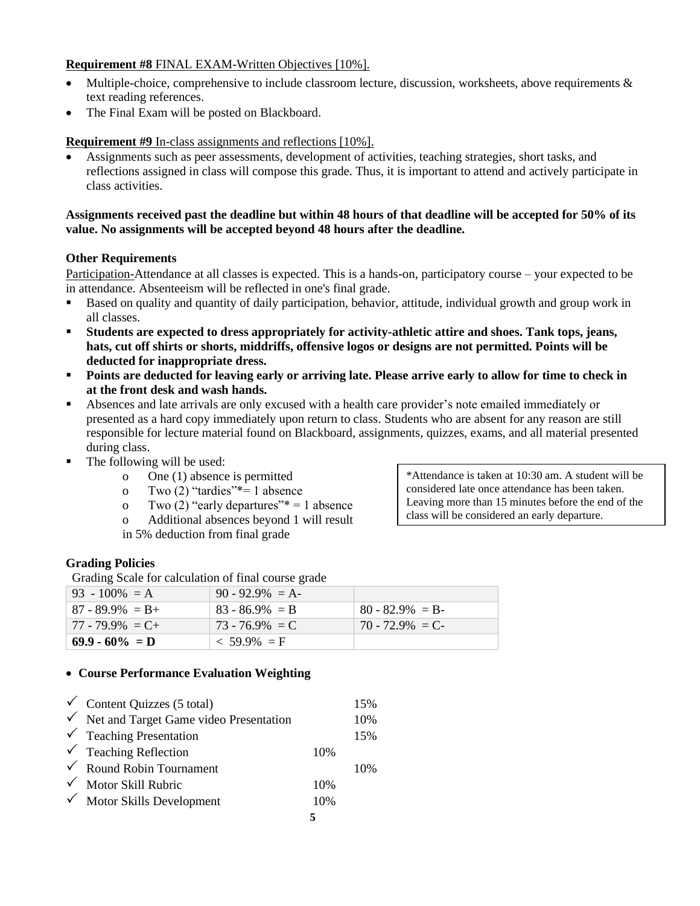# **Requirement #8** FINAL EXAM-Written Objectives [10%].

- Multiple-choice, comprehensive to include classroom lecture, discussion, worksheets, above requirements  $\&$ text reading references.
- The Final Exam will be posted on Blackboard.

# **Requirement #9** In-class assignments and reflections [10%].

• Assignments such as peer assessments, development of activities, teaching strategies, short tasks, and reflections assigned in class will compose this grade. Thus, it is important to attend and actively participate in class activities.

## **Assignments received past the deadline but within 48 hours of that deadline will be accepted for 50% of its value. No assignments will be accepted beyond 48 hours after the deadline.**

# **Other Requirements**

Participation-Attendance at all classes is expected. This is a hands-on, participatory course – your expected to be in attendance. Absenteeism will be reflected in one's final grade.

- Based on quality and quantity of daily participation, behavior, attitude, individual growth and group work in all classes.
- Students are expected to dress appropriately for activity-athletic attire and shoes. Tank tops, jeans, **hats, cut off shirts or shorts, middriffs, offensive logos or designs are not permitted. Points will be deducted for inappropriate dress.**
- **Points are deducted for leaving early or arriving late. Please arrive early to allow for time to check in at the front desk and wash hands.**
- Absences and late arrivals are only excused with a health care provider's note emailed immediately or presented as a hard copy immediately upon return to class. Students who are absent for any reason are still responsible for lecture material found on Blackboard, assignments, quizzes, exams, and all material presented during class.
- The following will be used:
	- o One (1) absence is permitted
	- o Two  $(2)$  "tardies"\*= 1 absence
	- o Two  $(2)$  "early departures"\* = 1 absence
	- o Additional absences beyond 1 will result
	- in 5% deduction from final grade

## **Grading Policies**

Grading Scale for calculation of final course grade

| $93 - 100\% = A$      | $90 - 92.9\% = A$ |                   |
|-----------------------|-------------------|-------------------|
| $87 - 89.9\% = B +$   | $83 - 86.9\% = B$ | $80 - 82.9\% = B$ |
| $77 - 79.9\% = C + 1$ | $73 - 76.9\% = C$ | $70 - 72.9\% = C$ |
| $69.9 - 60\% = D$     | $< 59.9\% = F$    |                   |

## • **Course Performance Evaluation Weighting**

| $\checkmark$ Content Quizzes (5 total)              |     | 15% |
|-----------------------------------------------------|-----|-----|
| $\checkmark$ Net and Target Game video Presentation |     | 10% |
| $\checkmark$ Teaching Presentation                  |     | 15% |
| $\checkmark$ Teaching Reflection                    | 10% |     |
| $\checkmark$ Round Robin Tournament                 |     | 10% |
| $\checkmark$ Motor Skill Rubric                     | 10% |     |
| $\checkmark$ Motor Skills Development               | 10% |     |
|                                                     | 5   |     |

\*Attendance is taken at 10:30 am. A student will be considered late once attendance has been taken. Leaving more than 15 minutes before the end of the class will be considered an early departure.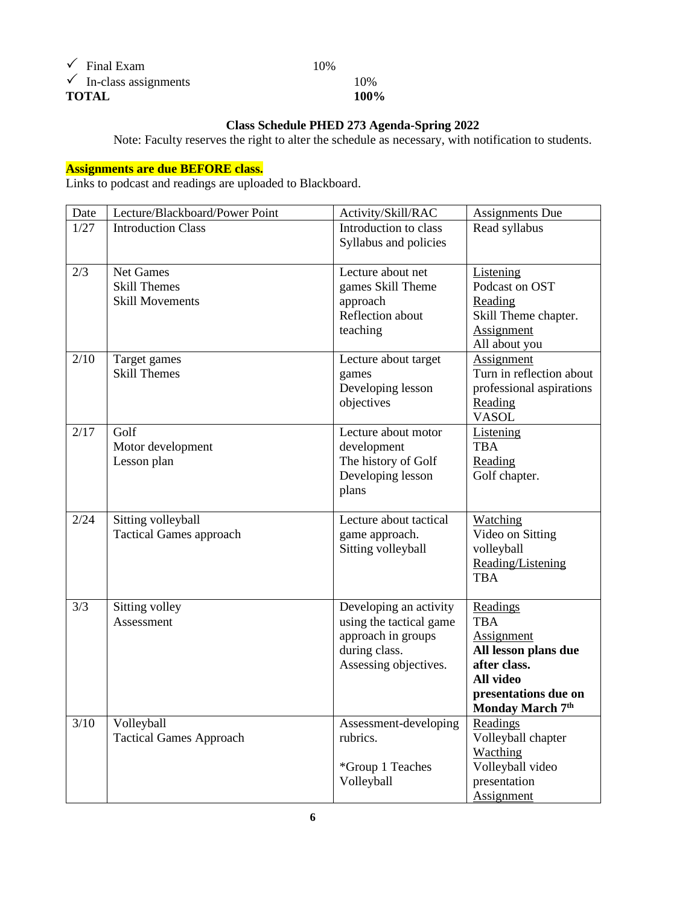| $\checkmark$ Final Exam           | 10%         |
|-----------------------------------|-------------|
| $\checkmark$ In-class assignments | 10%         |
| <b>TOTAL</b>                      | <b>100%</b> |

## **Class Schedule PHED 273 Agenda-Spring 2022**

Note: Faculty reserves the right to alter the schedule as necessary, with notification to students.

# **Assignments are due BEFORE class.**

Links to podcast and readings are uploaded to Blackboard.

| Date   | Lecture/Blackboard/Power Point                                    | Activity/Skill/RAC                                                                                                | <b>Assignments Due</b>                                                                                                                       |
|--------|-------------------------------------------------------------------|-------------------------------------------------------------------------------------------------------------------|----------------------------------------------------------------------------------------------------------------------------------------------|
| 1/27   | <b>Introduction Class</b>                                         | Introduction to class<br>Syllabus and policies                                                                    | Read syllabus                                                                                                                                |
| 2/3    | <b>Net Games</b><br><b>Skill Themes</b><br><b>Skill Movements</b> | Lecture about net<br>games Skill Theme<br>approach<br>Reflection about<br>teaching                                | Listening<br>Podcast on OST<br>Reading<br>Skill Theme chapter.<br>Assignment<br>All about you                                                |
| 2/10   | Target games<br><b>Skill Themes</b>                               | Lecture about target<br>games<br>Developing lesson<br>objectives                                                  | <b>Assignment</b><br>Turn in reflection about<br>professional aspirations<br>Reading<br><b>VASOL</b>                                         |
| 2/17   | Golf<br>Motor development<br>Lesson plan                          | Lecture about motor<br>development<br>The history of Golf<br>Developing lesson<br>plans                           | Listening<br><b>TBA</b><br>Reading<br>Golf chapter.                                                                                          |
| 2/24   | Sitting volleyball<br><b>Tactical Games approach</b>              | Lecture about tactical<br>game approach.<br>Sitting volleyball                                                    | Watching<br>Video on Sitting<br>volleyball<br>Reading/Listening<br><b>TBA</b>                                                                |
| 3/3    | Sitting volley<br>Assessment                                      | Developing an activity<br>using the tactical game<br>approach in groups<br>during class.<br>Assessing objectives. | Readings<br><b>TBA</b><br><b>Assignment</b><br>All lesson plans due<br>after class.<br>All video<br>presentations due on<br>Monday March 7th |
| $3/10$ | Volleyball<br><b>Tactical Games Approach</b>                      | Assessment-developing<br>rubrics.<br>*Group 1 Teaches<br>Volleyball                                               | Readings<br>Volleyball chapter<br>Wacthing<br>Volleyball video<br>presentation<br><b>Assignment</b>                                          |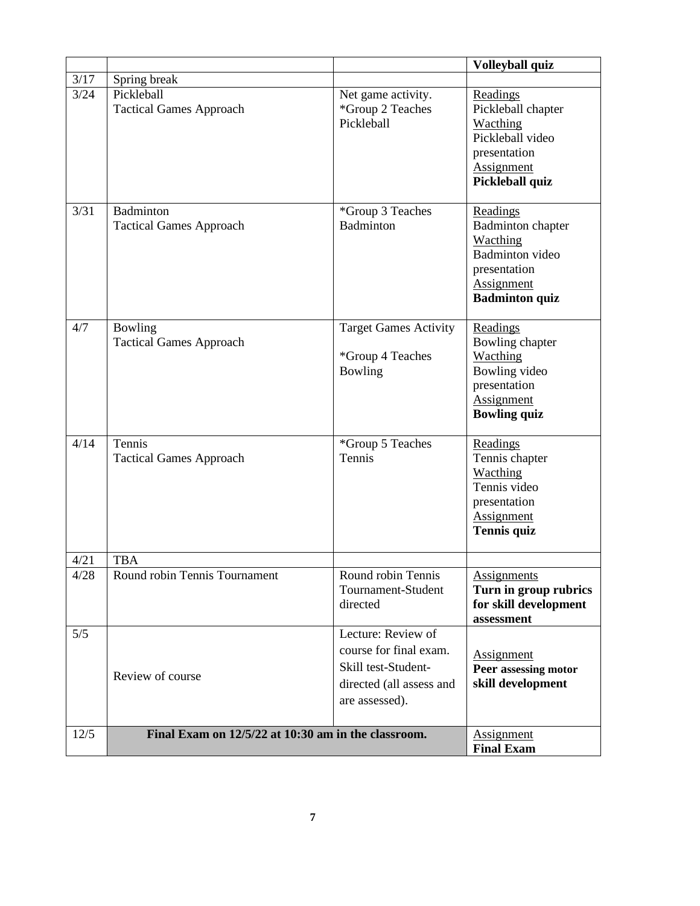|      |                                                     |                                                                                                                   | Volleyball quiz                                                                                                                          |
|------|-----------------------------------------------------|-------------------------------------------------------------------------------------------------------------------|------------------------------------------------------------------------------------------------------------------------------------------|
| 3/17 | Spring break                                        |                                                                                                                   |                                                                                                                                          |
| 3/24 | Pickleball<br><b>Tactical Games Approach</b>        | Net game activity.<br>*Group 2 Teaches<br>Pickleball                                                              | Readings<br>Pickleball chapter<br>Wacthing<br>Pickleball video<br>presentation<br><b>Assignment</b><br>Pickleball quiz                   |
| 3/31 | Badminton<br><b>Tactical Games Approach</b>         | *Group 3 Teaches<br>Badminton                                                                                     | Readings<br><b>Badminton</b> chapter<br>Wacthing<br><b>Badminton</b> video<br>presentation<br><b>Assignment</b><br><b>Badminton quiz</b> |
| 4/7  | Bowling<br><b>Tactical Games Approach</b>           | <b>Target Games Activity</b><br>*Group 4 Teaches<br>Bowling                                                       | Readings<br>Bowling chapter<br>Wacthing<br>Bowling video<br>presentation<br>Assignment<br><b>Bowling quiz</b>                            |
| 4/14 | Tennis<br><b>Tactical Games Approach</b>            | *Group 5 Teaches<br>Tennis                                                                                        | Readings<br>Tennis chapter<br>Wacthing<br>Tennis video<br>presentation<br><b>Assignment</b><br>Tennis quiz                               |
| 4/21 | <b>TBA</b>                                          |                                                                                                                   |                                                                                                                                          |
| 4/28 | Round robin Tennis Tournament                       | Round robin Tennis<br>Tournament-Student<br>directed                                                              | <b>Assignments</b><br>Turn in group rubrics<br>for skill development<br>assessment                                                       |
| 5/5  | Review of course                                    | Lecture: Review of<br>course for final exam.<br>Skill test-Student-<br>directed (all assess and<br>are assessed). | Assignment<br>Peer assessing motor<br>skill development                                                                                  |
| 12/5 | Final Exam on 12/5/22 at 10:30 am in the classroom. |                                                                                                                   | <b>Assignment</b><br><b>Final Exam</b>                                                                                                   |